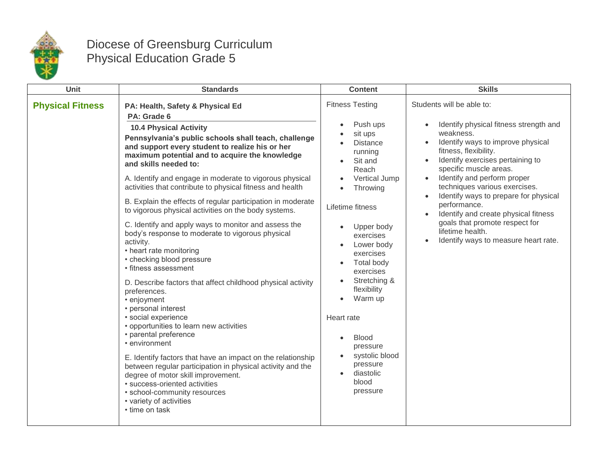

## Diocese of Greensburg Curriculum Physical Education Grade 5

| <b>Unit</b>             | <b>Standards</b>                                                                                                                                                                                                                                                                                                                                                                                                                                                                                                                                                                                                                                                                                                                                                                                                                                                                                                                                                                                                                                                                                                                                                                                                                                 | <b>Content</b>                                                                                                                                                                                                                                                                                                                                                                                                                      | <b>Skills</b>                                                                                                                                                                                                                                                                                                                                                                                                                                                                                                      |
|-------------------------|--------------------------------------------------------------------------------------------------------------------------------------------------------------------------------------------------------------------------------------------------------------------------------------------------------------------------------------------------------------------------------------------------------------------------------------------------------------------------------------------------------------------------------------------------------------------------------------------------------------------------------------------------------------------------------------------------------------------------------------------------------------------------------------------------------------------------------------------------------------------------------------------------------------------------------------------------------------------------------------------------------------------------------------------------------------------------------------------------------------------------------------------------------------------------------------------------------------------------------------------------|-------------------------------------------------------------------------------------------------------------------------------------------------------------------------------------------------------------------------------------------------------------------------------------------------------------------------------------------------------------------------------------------------------------------------------------|--------------------------------------------------------------------------------------------------------------------------------------------------------------------------------------------------------------------------------------------------------------------------------------------------------------------------------------------------------------------------------------------------------------------------------------------------------------------------------------------------------------------|
| <b>Physical Fitness</b> | PA: Health, Safety & Physical Ed<br>PA: Grade 6<br><b>10.4 Physical Activity</b><br>Pennsylvania's public schools shall teach, challenge<br>and support every student to realize his or her<br>maximum potential and to acquire the knowledge<br>and skills needed to:<br>A. Identify and engage in moderate to vigorous physical<br>activities that contribute to physical fitness and health<br>B. Explain the effects of regular participation in moderate<br>to vigorous physical activities on the body systems.<br>C. Identify and apply ways to monitor and assess the<br>body's response to moderate to vigorous physical<br>activity.<br>• heart rate monitoring<br>• checking blood pressure<br>• fitness assessment<br>D. Describe factors that affect childhood physical activity<br>preferences.<br>• enjoyment<br>• personal interest<br>· social experience<br>• opportunities to learn new activities<br>• parental preference<br>• environment<br>E. Identify factors that have an impact on the relationship<br>between regular participation in physical activity and the<br>degree of motor skill improvement.<br>· success-oriented activities<br>· school-community resources<br>• variety of activities<br>• time on task | <b>Fitness Testing</b><br>Push ups<br>sit ups<br>$\bullet$<br><b>Distance</b><br>running<br>Sit and<br>Reach<br>Vertical Jump<br>Throwing<br>Lifetime fitness<br>Upper body<br>exercises<br>Lower body<br>exercises<br><b>Total body</b><br>$\bullet$<br>exercises<br>Stretching &<br>flexibility<br>Warm up<br>$\bullet$<br>Heart rate<br><b>Blood</b><br>pressure<br>systolic blood<br>pressure<br>diastolic<br>blood<br>pressure | Students will be able to:<br>Identify physical fitness strength and<br>weakness.<br>Identify ways to improve physical<br>$\bullet$<br>fitness, flexibility.<br>Identify exercises pertaining to<br>$\bullet$<br>specific muscle areas.<br>Identify and perform proper<br>$\bullet$<br>techniques various exercises.<br>Identify ways to prepare for physical<br>performance.<br>Identify and create physical fitness<br>goals that promote respect for<br>lifetime health.<br>Identify ways to measure heart rate. |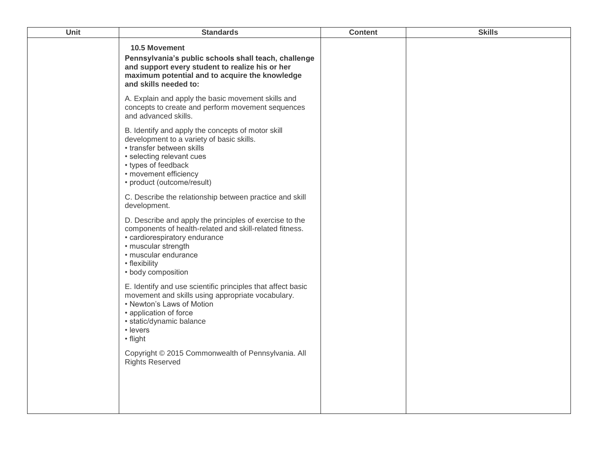| Unit | <b>Standards</b>                                                                                                                                                                                                                          | <b>Content</b> | <b>Skills</b> |
|------|-------------------------------------------------------------------------------------------------------------------------------------------------------------------------------------------------------------------------------------------|----------------|---------------|
|      | 10.5 Movement<br>Pennsylvania's public schools shall teach, challenge<br>and support every student to realize his or her<br>maximum potential and to acquire the knowledge<br>and skills needed to:                                       |                |               |
|      | A. Explain and apply the basic movement skills and<br>concepts to create and perform movement sequences<br>and advanced skills.                                                                                                           |                |               |
|      | B. Identify and apply the concepts of motor skill<br>development to a variety of basic skills.<br>• transfer between skills<br>• selecting relevant cues<br>• types of feedback<br>• movement efficiency<br>• product (outcome/result)    |                |               |
|      | C. Describe the relationship between practice and skill<br>development.                                                                                                                                                                   |                |               |
|      | D. Describe and apply the principles of exercise to the<br>components of health-related and skill-related fitness.<br>• cardiorespiratory endurance<br>• muscular strength<br>· muscular endurance<br>• flexibility<br>• body composition |                |               |
|      | E. Identify and use scientific principles that affect basic<br>movement and skills using appropriate vocabulary.<br>• Newton's Laws of Motion<br>• application of force<br>· static/dynamic balance<br>• levers<br>• flight               |                |               |
|      | Copyright © 2015 Commonwealth of Pennsylvania. All<br><b>Rights Reserved</b>                                                                                                                                                              |                |               |
|      |                                                                                                                                                                                                                                           |                |               |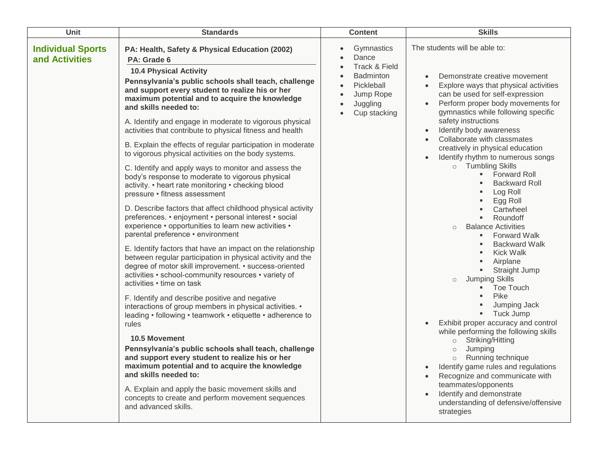| Unit                                       | <b>Standards</b>                                                                                                                                                                                                                                                                                                                                                                                                                                                                                                                                                                                                                                                                                                                                                                                                                                                                                                                                                                                                                                                                                                                                                                                                                                                                                                                                                                                                                                                                                                                                                                                                                                                                                                                                                           | <b>Content</b>                                                                                                               | <b>Skills</b>                                                                                                                                                                                                                                                                                                                                                                                                                                                                                                                                                                                                                                                                                                                                                                                                                                                                                                                                                                                                                                                                                                                                        |
|--------------------------------------------|----------------------------------------------------------------------------------------------------------------------------------------------------------------------------------------------------------------------------------------------------------------------------------------------------------------------------------------------------------------------------------------------------------------------------------------------------------------------------------------------------------------------------------------------------------------------------------------------------------------------------------------------------------------------------------------------------------------------------------------------------------------------------------------------------------------------------------------------------------------------------------------------------------------------------------------------------------------------------------------------------------------------------------------------------------------------------------------------------------------------------------------------------------------------------------------------------------------------------------------------------------------------------------------------------------------------------------------------------------------------------------------------------------------------------------------------------------------------------------------------------------------------------------------------------------------------------------------------------------------------------------------------------------------------------------------------------------------------------------------------------------------------------|------------------------------------------------------------------------------------------------------------------------------|------------------------------------------------------------------------------------------------------------------------------------------------------------------------------------------------------------------------------------------------------------------------------------------------------------------------------------------------------------------------------------------------------------------------------------------------------------------------------------------------------------------------------------------------------------------------------------------------------------------------------------------------------------------------------------------------------------------------------------------------------------------------------------------------------------------------------------------------------------------------------------------------------------------------------------------------------------------------------------------------------------------------------------------------------------------------------------------------------------------------------------------------------|
| <b>Individual Sports</b><br>and Activities | PA: Health, Safety & Physical Education (2002)<br>PA: Grade 6<br><b>10.4 Physical Activity</b><br>Pennsylvania's public schools shall teach, challenge<br>and support every student to realize his or her<br>maximum potential and to acquire the knowledge<br>and skills needed to:<br>A. Identify and engage in moderate to vigorous physical<br>activities that contribute to physical fitness and health<br>B. Explain the effects of regular participation in moderate<br>to vigorous physical activities on the body systems.<br>C. Identify and apply ways to monitor and assess the<br>body's response to moderate to vigorous physical<br>activity. • heart rate monitoring • checking blood<br>pressure • fitness assessment<br>D. Describe factors that affect childhood physical activity<br>preferences. • enjoyment • personal interest • social<br>experience · opportunities to learn new activities ·<br>parental preference · environment<br>E. Identify factors that have an impact on the relationship<br>between regular participation in physical activity and the<br>degree of motor skill improvement. • success-oriented<br>activities • school-community resources • variety of<br>activities • time on task<br>F. Identify and describe positive and negative<br>interactions of group members in physical activities. •<br>leading • following • teamwork • etiquette • adherence to<br>rules<br><b>10.5 Movement</b><br>Pennsylvania's public schools shall teach, challenge<br>and support every student to realize his or her<br>maximum potential and to acquire the knowledge<br>and skills needed to:<br>A. Explain and apply the basic movement skills and<br>concepts to create and perform movement sequences<br>and advanced skills. | Gymnastics<br>Dance<br>Track & Field<br><b>Badminton</b><br>Pickleball<br>Jump Rope<br>$\bullet$<br>Juggling<br>Cup stacking | The students will be able to:<br>Demonstrate creative movement<br>Explore ways that physical activities<br>can be used for self-expression<br>Perform proper body movements for<br>$\bullet$<br>gymnastics while following specific<br>safety instructions<br>Identify body awareness<br>Collaborate with classmates<br>creatively in physical education<br>Identify rhythm to numerous songs<br>o Tumbling Skills<br><b>Forward Roll</b><br><b>Backward Roll</b><br>Log Roll<br>Egg Roll<br>Cartwheel<br>Roundoff<br><b>Balance Activities</b><br>$\circ$<br><b>Forward Walk</b><br>٠<br><b>Backward Walk</b><br>л<br><b>Kick Walk</b><br>ш<br>Airplane<br>ш<br>Straight Jump<br><b>Jumping Skills</b><br>$\circ$<br><b>Toe Touch</b><br>Pike<br>Jumping Jack<br>Tuck Jump<br>$\blacksquare$<br>Exhibit proper accuracy and control<br>while performing the following skills<br>Striking/Hitting<br>$\circ$<br>Jumping<br>$\circ$<br>Running technique<br>$\circ$<br>Identify game rules and regulations<br>Recognize and communicate with<br>teammates/opponents<br>Identify and demonstrate<br>understanding of defensive/offensive<br>strategies |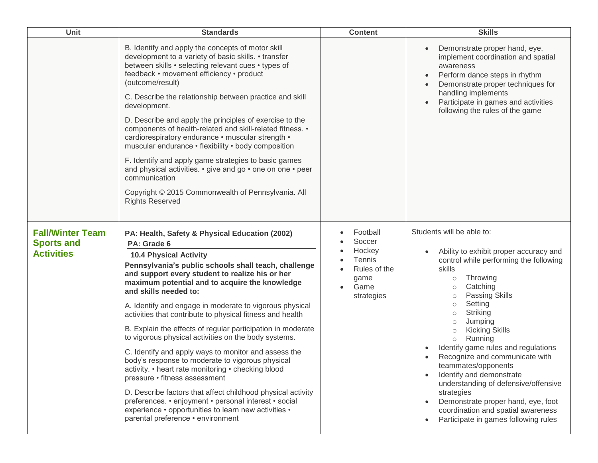| Unit                                                              | <b>Standards</b>                                                                                                                                                                                                                                                                                                                                                                                                                                                                                                                                                                                                                                                                                                                                                                                                                                                                                                                                            | <b>Content</b>                                                                                                                                        | <b>Skills</b>                                                                                                                                                                                                                                                                                                                                                                                                                                                                                                                                                                                                                                |
|-------------------------------------------------------------------|-------------------------------------------------------------------------------------------------------------------------------------------------------------------------------------------------------------------------------------------------------------------------------------------------------------------------------------------------------------------------------------------------------------------------------------------------------------------------------------------------------------------------------------------------------------------------------------------------------------------------------------------------------------------------------------------------------------------------------------------------------------------------------------------------------------------------------------------------------------------------------------------------------------------------------------------------------------|-------------------------------------------------------------------------------------------------------------------------------------------------------|----------------------------------------------------------------------------------------------------------------------------------------------------------------------------------------------------------------------------------------------------------------------------------------------------------------------------------------------------------------------------------------------------------------------------------------------------------------------------------------------------------------------------------------------------------------------------------------------------------------------------------------------|
|                                                                   | B. Identify and apply the concepts of motor skill<br>development to a variety of basic skills. • transfer<br>between skills • selecting relevant cues • types of<br>feedback • movement efficiency • product<br>(outcome/result)<br>C. Describe the relationship between practice and skill<br>development.<br>D. Describe and apply the principles of exercise to the<br>components of health-related and skill-related fitness. •<br>cardiorespiratory endurance · muscular strength ·<br>muscular endurance • flexibility • body composition<br>F. Identify and apply game strategies to basic games<br>and physical activities. • give and go • one on one • peer<br>communication<br>Copyright © 2015 Commonwealth of Pennsylvania. All<br><b>Rights Reserved</b>                                                                                                                                                                                      |                                                                                                                                                       | Demonstrate proper hand, eye,<br>implement coordination and spatial<br>awareness<br>Perform dance steps in rhythm<br>Demonstrate proper techniques for<br>handling implements<br>Participate in games and activities<br>following the rules of the game                                                                                                                                                                                                                                                                                                                                                                                      |
| <b>Fall/Winter Team</b><br><b>Sports and</b><br><b>Activities</b> | PA: Health, Safety & Physical Education (2002)<br>PA: Grade 6<br><b>10.4 Physical Activity</b><br>Pennsylvania's public schools shall teach, challenge<br>and support every student to realize his or her<br>maximum potential and to acquire the knowledge<br>and skills needed to:<br>A. Identify and engage in moderate to vigorous physical<br>activities that contribute to physical fitness and health<br>B. Explain the effects of regular participation in moderate<br>to vigorous physical activities on the body systems.<br>C. Identify and apply ways to monitor and assess the<br>body's response to moderate to vigorous physical<br>activity. • heart rate monitoring • checking blood<br>pressure • fitness assessment<br>D. Describe factors that affect childhood physical activity<br>preferences. • enjoyment • personal interest • social<br>experience • opportunities to learn new activities •<br>parental preference · environment | Football<br>$\bullet$<br>Soccer<br>Hockey<br>$\bullet$<br>Tennis<br>$\bullet$<br>Rules of the<br>$\bullet$<br>game<br>Game<br>$\bullet$<br>strategies | Students will be able to:<br>Ability to exhibit proper accuracy and<br>control while performing the following<br>skills<br>Throwing<br>$\circ$<br>Catching<br>$\circ$<br><b>Passing Skills</b><br>$\circ$<br>Setting<br>$\circ$<br>Striking<br>$\circ$<br>Jumping<br>$\circ$<br><b>Kicking Skills</b><br>$\circ$<br>Running<br>$\circ$<br>Identify game rules and regulations<br>Recognize and communicate with<br>teammates/opponents<br>Identify and demonstrate<br>understanding of defensive/offensive<br>strategies<br>Demonstrate proper hand, eye, foot<br>coordination and spatial awareness<br>Participate in games following rules |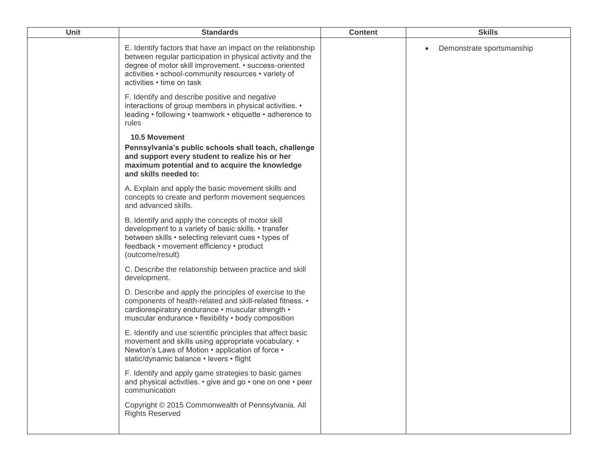| Unit | <b>Standards</b>                                                                                                                                                                                                                                                        | <b>Content</b> | <b>Skills</b>                          |
|------|-------------------------------------------------------------------------------------------------------------------------------------------------------------------------------------------------------------------------------------------------------------------------|----------------|----------------------------------------|
|      | E. Identify factors that have an impact on the relationship<br>between regular participation in physical activity and the<br>degree of motor skill improvement. • success-oriented<br>activities • school-community resources • variety of<br>activities • time on task |                | Demonstrate sportsmanship<br>$\bullet$ |
|      | F. Identify and describe positive and negative<br>interactions of group members in physical activities. •<br>leading • following • teamwork • etiquette • adherence to<br>rules                                                                                         |                |                                        |
|      | 10.5 Movement                                                                                                                                                                                                                                                           |                |                                        |
|      | Pennsylvania's public schools shall teach, challenge<br>and support every student to realize his or her<br>maximum potential and to acquire the knowledge<br>and skills needed to:                                                                                      |                |                                        |
|      | A. Explain and apply the basic movement skills and<br>concepts to create and perform movement sequences<br>and advanced skills.                                                                                                                                         |                |                                        |
|      | B. Identify and apply the concepts of motor skill<br>development to a variety of basic skills. • transfer<br>between skills • selecting relevant cues • types of<br>feedback • movement efficiency • product<br>(outcome/result)                                        |                |                                        |
|      | C. Describe the relationship between practice and skill<br>development.                                                                                                                                                                                                 |                |                                        |
|      | D. Describe and apply the principles of exercise to the<br>components of health-related and skill-related fitness. •<br>cardiorespiratory endurance · muscular strength ·<br>muscular endurance • flexibility • body composition                                        |                |                                        |
|      | E. Identify and use scientific principles that affect basic<br>movement and skills using appropriate vocabulary. •<br>Newton's Laws of Motion • application of force •<br>static/dynamic balance • levers • flight                                                      |                |                                        |
|      | F. Identify and apply game strategies to basic games<br>and physical activities. • give and go • one on one • peer<br>communication                                                                                                                                     |                |                                        |
|      | Copyright © 2015 Commonwealth of Pennsylvania. All<br><b>Rights Reserved</b>                                                                                                                                                                                            |                |                                        |
|      |                                                                                                                                                                                                                                                                         |                |                                        |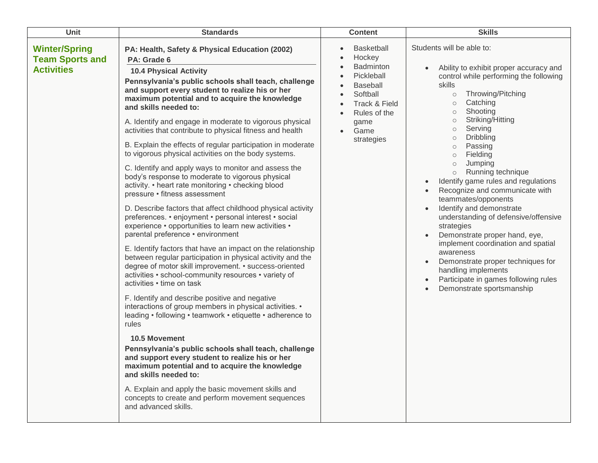| <b>Unit</b>                                                         | <b>Standards</b>                                                                                                                                                                                                                                                                                                                                                                                                                                                                                                                                                                                                                                                                                                                                                                                                                                                                                                                                                                                                                                                                                                                                                                                                                                                                                                                                                                                                                                                                                                                                                                                                                                                                                                                                                           | <b>Content</b>                                                                                                                                                                              | <b>Skills</b>                                                                                                                                                                                                                                                                                                                                                                                                                                                                                                                                                                                                                                                                                                                                                                                                                                             |
|---------------------------------------------------------------------|----------------------------------------------------------------------------------------------------------------------------------------------------------------------------------------------------------------------------------------------------------------------------------------------------------------------------------------------------------------------------------------------------------------------------------------------------------------------------------------------------------------------------------------------------------------------------------------------------------------------------------------------------------------------------------------------------------------------------------------------------------------------------------------------------------------------------------------------------------------------------------------------------------------------------------------------------------------------------------------------------------------------------------------------------------------------------------------------------------------------------------------------------------------------------------------------------------------------------------------------------------------------------------------------------------------------------------------------------------------------------------------------------------------------------------------------------------------------------------------------------------------------------------------------------------------------------------------------------------------------------------------------------------------------------------------------------------------------------------------------------------------------------|---------------------------------------------------------------------------------------------------------------------------------------------------------------------------------------------|-----------------------------------------------------------------------------------------------------------------------------------------------------------------------------------------------------------------------------------------------------------------------------------------------------------------------------------------------------------------------------------------------------------------------------------------------------------------------------------------------------------------------------------------------------------------------------------------------------------------------------------------------------------------------------------------------------------------------------------------------------------------------------------------------------------------------------------------------------------|
| <b>Winter/Spring</b><br><b>Team Sports and</b><br><b>Activities</b> | PA: Health, Safety & Physical Education (2002)<br>PA: Grade 6<br><b>10.4 Physical Activity</b><br>Pennsylvania's public schools shall teach, challenge<br>and support every student to realize his or her<br>maximum potential and to acquire the knowledge<br>and skills needed to:<br>A. Identify and engage in moderate to vigorous physical<br>activities that contribute to physical fitness and health<br>B. Explain the effects of regular participation in moderate<br>to vigorous physical activities on the body systems.<br>C. Identify and apply ways to monitor and assess the<br>body's response to moderate to vigorous physical<br>activity. • heart rate monitoring • checking blood<br>pressure • fitness assessment<br>D. Describe factors that affect childhood physical activity<br>preferences. • enjoyment • personal interest • social<br>experience • opportunities to learn new activities •<br>parental preference · environment<br>E. Identify factors that have an impact on the relationship<br>between regular participation in physical activity and the<br>degree of motor skill improvement. • success-oriented<br>activities • school-community resources • variety of<br>activities • time on task<br>F. Identify and describe positive and negative<br>interactions of group members in physical activities. •<br>leading • following • teamwork • etiquette • adherence to<br>rules<br><b>10.5 Movement</b><br>Pennsylvania's public schools shall teach, challenge<br>and support every student to realize his or her<br>maximum potential and to acquire the knowledge<br>and skills needed to:<br>A. Explain and apply the basic movement skills and<br>concepts to create and perform movement sequences<br>and advanced skills. | <b>Basketball</b><br>$\bullet$<br>Hockey<br>Badminton<br>Pickleball<br>$\bullet$<br><b>Baseball</b><br>Softball<br>Track & Field<br>Rules of the<br>game<br>Game<br>$\bullet$<br>strategies | Students will be able to:<br>Ability to exhibit proper accuracy and<br>$\bullet$<br>control while performing the following<br>skills<br>Throwing/Pitching<br>$\circ$<br>Catching<br>$\circ$<br>Shooting<br>$\circlearrowright$<br>Striking/Hitting<br>$\bigcirc$<br>Serving<br>$\circ$<br><b>Dribbling</b><br>$\circ$<br>Passing<br>$\circ$<br>Fielding<br>$\circ$<br>Jumping<br>$\circ$<br>Running technique<br>$\circ$<br>Identify game rules and regulations<br>Recognize and communicate with<br>teammates/opponents<br>Identify and demonstrate<br>understanding of defensive/offensive<br>strategies<br>Demonstrate proper hand, eye,<br>implement coordination and spatial<br>awareness<br>Demonstrate proper techniques for<br>$\bullet$<br>handling implements<br>Participate in games following rules<br>$\bullet$<br>Demonstrate sportsmanship |